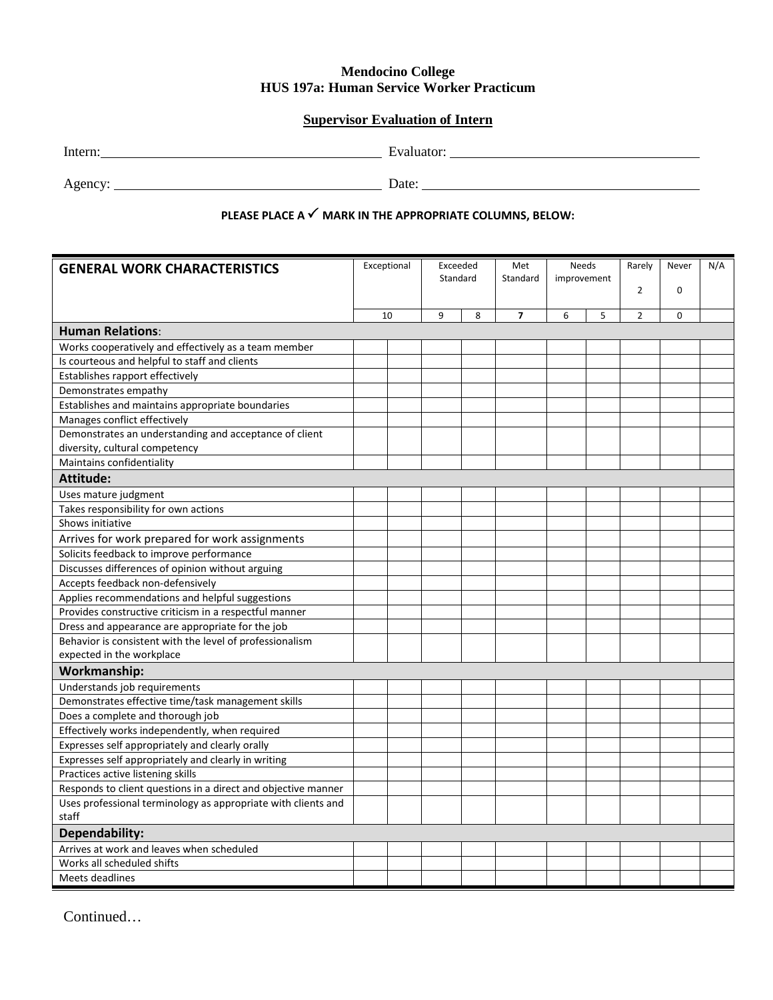## **Mendocino College HUS 197a: Human Service Worker Practicum**

## **Supervisor Evaluation of Intern**

Agency: <u>New York:</u> Date: <u>New York: Date:</u> Date: 2008.

## **PLEASE PLACE A MARK IN THE APPROPRIATE COLUMNS, BELOW:**

| <b>GENERAL WORK CHARACTERISTICS</b>                           | Exceptional<br>Exceeded<br>Standard |  |   | Met<br>Standard | Needs<br>improvement |   | Rarely<br>$\overline{2}$ | Never<br>0     | N/A      |  |
|---------------------------------------------------------------|-------------------------------------|--|---|-----------------|----------------------|---|--------------------------|----------------|----------|--|
|                                                               |                                     |  |   |                 |                      |   |                          |                |          |  |
|                                                               | 10                                  |  | 9 | 8               | $\overline{7}$       | 6 | 5                        | $\overline{2}$ | $\Omega$ |  |
| <b>Human Relations:</b>                                       |                                     |  |   |                 |                      |   |                          |                |          |  |
| Works cooperatively and effectively as a team member          |                                     |  |   |                 |                      |   |                          |                |          |  |
| Is courteous and helpful to staff and clients                 |                                     |  |   |                 |                      |   |                          |                |          |  |
| Establishes rapport effectively                               |                                     |  |   |                 |                      |   |                          |                |          |  |
| Demonstrates empathy                                          |                                     |  |   |                 |                      |   |                          |                |          |  |
| Establishes and maintains appropriate boundaries              |                                     |  |   |                 |                      |   |                          |                |          |  |
| Manages conflict effectively                                  |                                     |  |   |                 |                      |   |                          |                |          |  |
| Demonstrates an understanding and acceptance of client        |                                     |  |   |                 |                      |   |                          |                |          |  |
| diversity, cultural competency                                |                                     |  |   |                 |                      |   |                          |                |          |  |
| Maintains confidentiality                                     |                                     |  |   |                 |                      |   |                          |                |          |  |
| <b>Attitude:</b>                                              |                                     |  |   |                 |                      |   |                          |                |          |  |
| Uses mature judgment                                          |                                     |  |   |                 |                      |   |                          |                |          |  |
| Takes responsibility for own actions                          |                                     |  |   |                 |                      |   |                          |                |          |  |
| Shows initiative                                              |                                     |  |   |                 |                      |   |                          |                |          |  |
| Arrives for work prepared for work assignments                |                                     |  |   |                 |                      |   |                          |                |          |  |
| Solicits feedback to improve performance                      |                                     |  |   |                 |                      |   |                          |                |          |  |
| Discusses differences of opinion without arguing              |                                     |  |   |                 |                      |   |                          |                |          |  |
| Accepts feedback non-defensively                              |                                     |  |   |                 |                      |   |                          |                |          |  |
| Applies recommendations and helpful suggestions               |                                     |  |   |                 |                      |   |                          |                |          |  |
| Provides constructive criticism in a respectful manner        |                                     |  |   |                 |                      |   |                          |                |          |  |
| Dress and appearance are appropriate for the job              |                                     |  |   |                 |                      |   |                          |                |          |  |
| Behavior is consistent with the level of professionalism      |                                     |  |   |                 |                      |   |                          |                |          |  |
| expected in the workplace                                     |                                     |  |   |                 |                      |   |                          |                |          |  |
| Workmanship:                                                  |                                     |  |   |                 |                      |   |                          |                |          |  |
| Understands job requirements                                  |                                     |  |   |                 |                      |   |                          |                |          |  |
| Demonstrates effective time/task management skills            |                                     |  |   |                 |                      |   |                          |                |          |  |
| Does a complete and thorough job                              |                                     |  |   |                 |                      |   |                          |                |          |  |
| Effectively works independently, when required                |                                     |  |   |                 |                      |   |                          |                |          |  |
| Expresses self appropriately and clearly orally               |                                     |  |   |                 |                      |   |                          |                |          |  |
| Expresses self appropriately and clearly in writing           |                                     |  |   |                 |                      |   |                          |                |          |  |
| Practices active listening skills                             |                                     |  |   |                 |                      |   |                          |                |          |  |
| Responds to client questions in a direct and objective manner |                                     |  |   |                 |                      |   |                          |                |          |  |
| Uses professional terminology as appropriate with clients and |                                     |  |   |                 |                      |   |                          |                |          |  |
| staff                                                         |                                     |  |   |                 |                      |   |                          |                |          |  |
| Dependability:                                                |                                     |  |   |                 |                      |   |                          |                |          |  |
| Arrives at work and leaves when scheduled                     |                                     |  |   |                 |                      |   |                          |                |          |  |
| Works all scheduled shifts                                    |                                     |  |   |                 |                      |   |                          |                |          |  |
| Meets deadlines                                               |                                     |  |   |                 |                      |   |                          |                |          |  |

Continued…